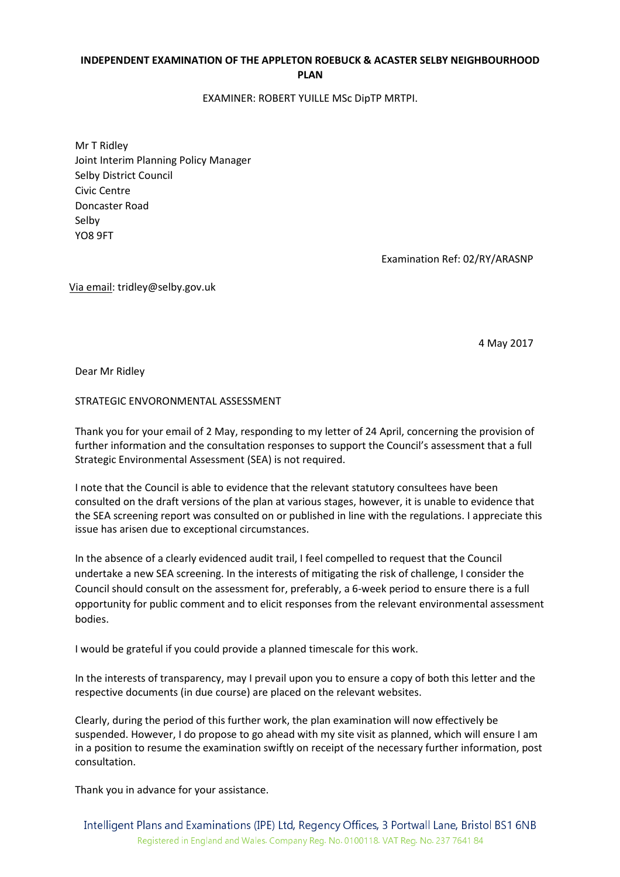## INDEPENDENT EXAMINATION OF THE APPLETON ROEBUCK & ACASTER SELBY NEIGHBOURHOOD PLAN

EXAMINER: ROBERT YUILLE MSc DipTP MRTPI.

Mr T Ridley Joint Interim Planning Policy Manager Selby District Council Civic Centre Doncaster Road Selby YO8 9FT

Examination Ref: 02/RY/ARASNP

Via email: tridley@selby.gov.uk

4 May 2017

Dear Mr Ridley

STRATEGIC ENVORONMENTAL ASSESSMENT

Thank you for your email of 2 May, responding to my letter of 24 April, concerning the provision of further information and the consultation responses to support the Council's assessment that a full Strategic Environmental Assessment (SEA) is not required.

I note that the Council is able to evidence that the relevant statutory consultees have been consulted on the draft versions of the plan at various stages, however, it is unable to evidence that the SEA screening report was consulted on or published in line with the regulations. I appreciate this issue has arisen due to exceptional circumstances.

In the absence of a clearly evidenced audit trail, I feel compelled to request that the Council undertake a new SEA screening. In the interests of mitigating the risk of challenge, I consider the Council should consult on the assessment for, preferably, a 6-week period to ensure there is a full opportunity for public comment and to elicit responses from the relevant environmental assessment bodies.

I would be grateful if you could provide a planned timescale for this work.

In the interests of transparency, may I prevail upon you to ensure a copy of both this letter and the respective documents (in due course) are placed on the relevant websites.

Clearly, during the period of this further work, the plan examination will now effectively be suspended. However, I do propose to go ahead with my site visit as planned, which will ensure I am in a position to resume the examination swiftly on receipt of the necessary further information, post consultation.

Thank you in advance for your assistance.